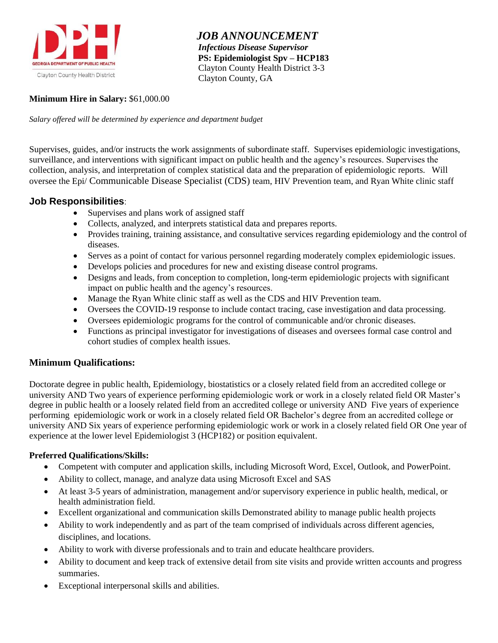

 *JOB ANNOUNCEMENT Infectious Disease Supervisor*  **PS: Epidemiologist Spv – HCP183** Clayton County Health District 3-3 Clayton County, GA

## **Minimum Hire in Salary:** \$61,000.00

*Salary offered will be determined by experience and department budget*

Supervises, guides, and/or instructs the work assignments of subordinate staff. Supervises epidemiologic investigations, surveillance, and interventions with significant impact on public health and the agency's resources. Supervises the collection, analysis, and interpretation of complex statistical data and the preparation of epidemiologic reports. Will oversee the Epi/ Communicable Disease Specialist (CDS) team, HIV Prevention team, and Ryan White clinic staff

# **Job Responsibilities**:

- Supervises and plans work of assigned staff
- Collects, analyzed, and interprets statistical data and prepares reports.
- Provides training, training assistance, and consultative services regarding epidemiology and the control of diseases.
- Serves as a point of contact for various personnel regarding moderately complex epidemiologic issues.
- Develops policies and procedures for new and existing disease control programs.
- Designs and leads, from conception to completion, long-term epidemiologic projects with significant impact on public health and the agency's resources.
- Manage the Ryan White clinic staff as well as the CDS and HIV Prevention team.
- Oversees the COVID-19 response to include contact tracing, case investigation and data processing.
- Oversees epidemiologic programs for the control of communicable and/or chronic diseases.
- Functions as principal investigator for investigations of diseases and oversees formal case control and cohort studies of complex health issues.

## **Minimum Qualifications:**

Doctorate degree in public health, Epidemiology, biostatistics or a closely related field from an accredited college or university AND Two years of experience performing epidemiologic work or work in a closely related field OR Master's degree in public health or a loosely related field from an accredited college or university AND Five years of experience performing epidemiologic work or work in a closely related field OR Bachelor's degree from an accredited college or university AND Six years of experience performing epidemiologic work or work in a closely related field OR One year of experience at the lower level Epidemiologist 3 (HCP182) or position equivalent.

## **Preferred Qualifications/Skills:**

- Competent with computer and application skills, including Microsoft Word, Excel, Outlook, and PowerPoint.
- Ability to collect, manage, and analyze data using Microsoft Excel and SAS
- At least 3-5 years of administration, management and/or supervisory experience in public health, medical, or health administration field.
- Excellent organizational and communication skills Demonstrated ability to manage public health projects
- Ability to work independently and as part of the team comprised of individuals across different agencies, disciplines, and locations.
- Ability to work with diverse professionals and to train and educate healthcare providers.
- Ability to document and keep track of extensive detail from site visits and provide written accounts and progress summaries.
- Exceptional interpersonal skills and abilities.